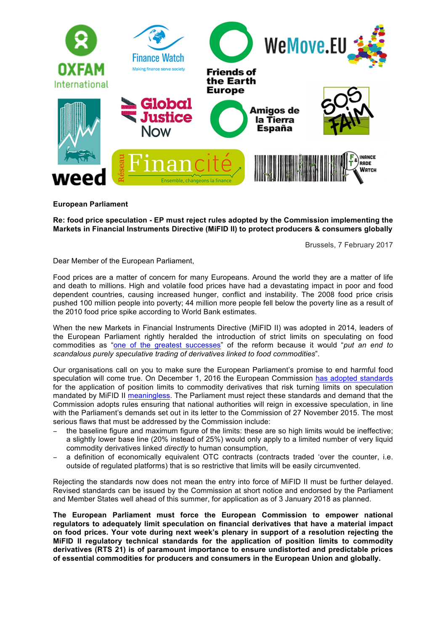

## **European Parliament**

**Re: food price speculation - EP must reject rules adopted by the Commission implementing the Markets in Financial Instruments Directive (MiFID II) to protect producers & consumers globally**

Brussels, 7 February 2017

Dear Member of the European Parliament,

Food prices are a matter of concern for many Europeans. Around the world they are a matter of life and death to millions. High and volatile food prices have had a devastating impact in poor and food dependent countries, causing increased hunger, conflict and instability. The 2008 food price crisis pushed 100 million people into poverty; 44 million more people fell below the poverty line as a result of the 2010 food price spike according to World Bank estimates.

When the new Markets in Financial Instruments Directive (MiFID II) was adopted in 2014, leaders of the European Parliament rightly heralded the introduction of strict limits on speculating on food commodities as "one of the greatest successes" of the reform because it would "*put an end to scandalous purely speculative trading of derivatives linked to food commodities*".

Our organisations call on you to make sure the European Parliament's promise to end harmful food speculation will come true. On December 1, 2016 the European Commission has adopted standards for the application of position limits to commodity derivatives that risk turning limits on speculation mandated by MiFID II meaningless. The Parliament must reject these standards and demand that the Commission adopts rules ensuring that national authorities will reign in excessive speculation, in line with the Parliament's demands set out in its letter to the Commission of 27 November 2015. The most serious flaws that must be addressed by the Commission include:

- the baseline figure and maximum figure of the limits: these are so high limits would be ineffective; a slightly lower base line (20% instead of 25%) would only apply to a limited number of very liquid commodity derivatives linked *directly* to human consumption,
- a definition of economically equivalent OTC contracts (contracts traded 'over the counter, i.e. outside of regulated platforms) that is so restrictive that limits will be easily circumvented.

Rejecting the standards now does not mean the entry into force of MiFID II must be further delayed. Revised standards can be issued by the Commission at short notice and endorsed by the Parliament and Member States well ahead of this summer, for application as of 3 January 2018 as planned.

**The European Parliament must force the European Commission to empower national regulators to adequately limit speculation on financial derivatives that have a material impact on food prices. Your vote during next week's plenary in support of a resolution rejecting the MiFID II regulatory technical standards for the application of position limits to commodity derivatives (RTS 21) is of paramount importance to ensure undistorted and predictable prices of essential commodities for producers and consumers in the European Union and globally.**